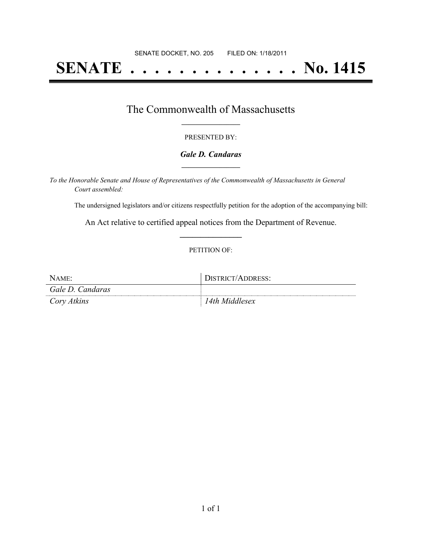# **SENATE . . . . . . . . . . . . . . No. 1415**

### The Commonwealth of Massachusetts **\_\_\_\_\_\_\_\_\_\_\_\_\_\_\_\_\_**

#### PRESENTED BY:

#### *Gale D. Candaras* **\_\_\_\_\_\_\_\_\_\_\_\_\_\_\_\_\_**

*To the Honorable Senate and House of Representatives of the Commonwealth of Massachusetts in General Court assembled:*

The undersigned legislators and/or citizens respectfully petition for the adoption of the accompanying bill:

An Act relative to certified appeal notices from the Department of Revenue. **\_\_\_\_\_\_\_\_\_\_\_\_\_\_\_**

#### PETITION OF:

| NAME:            | DISTRICT/ADDRESS: |
|------------------|-------------------|
| Gale D. Candaras |                   |
| Cory Atkins      | 14th Middlesex    |